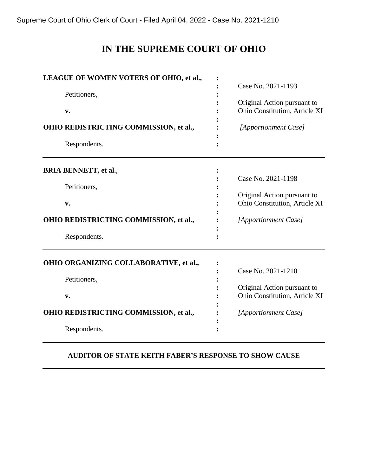Supreme Court of Ohio Clerk of Court - Filed April 04, 2022 - Case No. 2021-1210

# **IN THE SUPREME COURT OF OHIO**

| LEAGUE OF WOMEN VOTERS OF OHIO, et al., |                               |
|-----------------------------------------|-------------------------------|
|                                         | Case No. 2021-1193            |
| Petitioners,                            |                               |
|                                         | Original Action pursuant to   |
| $\mathbf{v}$ .                          | Ohio Constitution, Article XI |
|                                         |                               |
| OHIO REDISTRICTING COMMISSION, et al.,  | [Apportionment Case]          |
| Respondents.                            |                               |
|                                         |                               |
| <b>BRIA BENNETT, et al.,</b>            |                               |
|                                         | Case No. 2021-1198            |
| Petitioners,                            |                               |
|                                         | Original Action pursuant to   |
| $\mathbf{v}$ .                          | Ohio Constitution, Article XI |
|                                         |                               |
| OHIO REDISTRICTING COMMISSION, et al.,  | [Apportionment Case]          |
|                                         |                               |
| Respondents.                            |                               |
| OHIO ORGANIZING COLLABORATIVE, et al.,  |                               |
|                                         | Case No. 2021-1210            |
| Petitioners,                            |                               |
|                                         | Original Action pursuant to   |
| $\mathbf{v}$ .                          | Ohio Constitution, Article XI |
|                                         |                               |
| OHIO REDISTRICTING COMMISSION, et al.,  | [Apportionment Case]          |
| Respondents.                            |                               |
|                                         |                               |

# **AUDITOR OF STATE KEITH FABER'S RESPONSE TO SHOW CAUSE**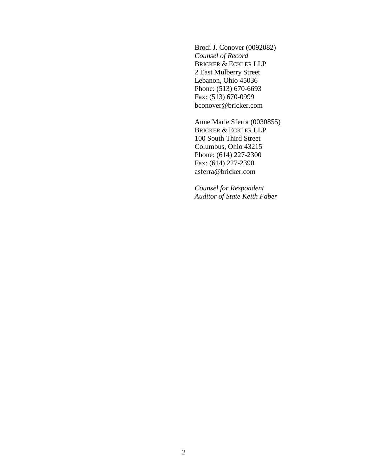Brodi J. Conover (0092082) *Counsel of Record*  BRICKER & ECKLER LLP 2 East Mulberry Street Lebanon, Ohio 45036 Phone: (513) 670-6693 Fax: (513) 670-0999 bconover@bricker.com

Anne Marie Sferra (0030855) BRICKER & ECKLER LLP 100 South Third Street Columbus, Ohio 43215 Phone: (614) 227-2300 Fax: (614) 227-2390 asferra@bricker.com

*Counsel for Respondent Auditor of State Keith Faber*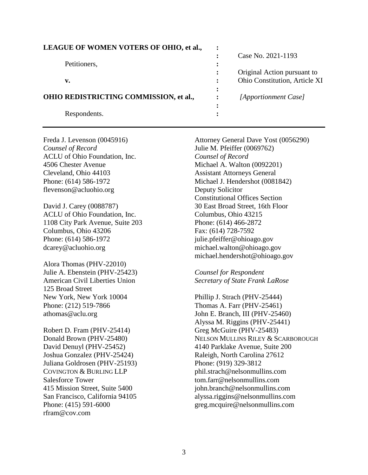| <b>LEAGUE OF WOMEN VOTERS OF OHIO, et al.,</b> |   |                               |
|------------------------------------------------|---|-------------------------------|
|                                                |   | Case No. 2021-1193            |
| Petitioners,                                   |   |                               |
|                                                |   | Original Action pursuant to   |
| v.                                             |   | Ohio Constitution, Article XI |
|                                                |   |                               |
| OHIO REDISTRICTING COMMISSION, et al.,         |   | [Apportionment Case]          |
|                                                | ٠ |                               |
| Respondents.                                   |   |                               |
|                                                |   |                               |

*Counsel of Record* Julie M. Pfeiffer (0069762) ACLU of Ohio Foundation, Inc. *Counsel of Record* 4506 Chester Avenue Michael A. Walton (0092201) Cleveland, Ohio 44103 Assistant Attorneys General flevenson@acluohio.org Deputy Solicitor

David J. Carey (0088787) 30 East Broad Street, 16th Floor ACLU of Ohio Foundation, Inc. Columbus, Ohio 43215 1108 City Park Avenue, Suite 203 Phone: (614) 466-2872 Columbus, Ohio 43206 Fax: (614) 728-7592 Phone: (614) 586-1972 julie.pfeiffer@ohioago.gov dcarey@acluohio.org michael.walton@ohioago.gov

Alora Thomas (PHV-22010) Julie A. Ebenstein (PHV-25423) *Counsel for Respondent*  125 Broad Street New York, New York 10004 Phillip J. Strach (PHV-25444) Phone: (212) 519-7866 Thomas A. Farr (PHV-25461)

Robert D. Fram (PHV-25414) Greg McGuire (PHV-25483) Joshua Gonzalez (PHV-25424) Raleigh, North Carolina 27612 Juliana Goldrosen (PHV-25193) Phone: (919) 329-3812 COVINGTON & BURLING LLP phil.strach@nelsonmullins.com Salesforce Tower tom.farr@nelsonmullins.com rfram@cov.com

Freda J. Levenson (0045916) Attorney General Dave Yost (0056290) Phone: (614) 586-1972 Michael J. Hendershot (0081842) Constitutional Offices Section michael.hendershot@ohioago.gov

American Civil Liberties Union *Secretary of State Frank LaRose* 

athomas@aclu.org John E. Branch, III (PHV-25460) Alyssa M. Riggins (PHV-25441) Donald Brown (PHV-25480) NELSON MULLINS RILEY & SCARBOROUGH David Denuyl (PHV-25452) 4140 Parklake Avenue, Suite 200 415 Mission Street, Suite 5400 john.branch@nelsonmullins.com San Francisco, California 94105 alyssa.riggins@nelsonmullins.com Phone: (415) 591-6000 greg.mcquire@nelsonmullins.com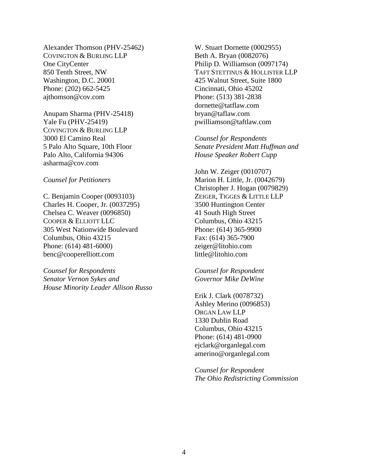Alexander Thomson (PHV-25462) W. Stuart Dornette (0002955) COVINGTON & BURLING LLP Beth A. Bryan (0082076) One CityCenter Philip D. Williamson (0097174) Washington, D.C. 20001 425 Walnut Street, Suite 1800 Phone: (202) 662-5425 Cincinnati, Ohio 45202 ajthomson@cov.com Phone: (513) 381-2838

Anupam Sharma (PHV-25418) bryan@taflaw.com Yale Fu (PHV-25419) pwilliamson@taftlaw.com COVINGTON & BURLING LLP 3000 El Camino Real *Counsel for Respondents*  Palo Alto, California 94306 *House Speaker Robert Cupp*  asharma@cov.com

C. Benjamin Cooper (0093103) ZEIGER, TIGGES & LITTLE LLP Charles H. Cooper, Jr. (0037295) 3500 Huntington Center Chelsea C. Weaver (0096850) 41 South High Street COOPER & ELLIOTT LLC<br>
Columbus, Ohio 43215 305 West Nationwide Boulevard Phone: (614) 365-9900 Columbus, Ohio 43215 Fax: (614) 365-7900 Phone: (614) 481-6000) zeiger@litohio.com benc@cooperelliott.com little@litohio.com

*Counsel for Respondents Counsel for Respondent Senator Vernon Sykes and Governor Mike DeWine House Minority Leader Allison Russo* 

850 Tenth Street, NW TAFT STETTINUS & HOLLISTER LLP dornette@tatflaw.com

5 Palo Alto Square, 10th Floor *Senate President Matt Huffman and* 

John W. Zeiger (0010707) *Counsel for Petitioners* Marion H. Little, Jr. (0042679) Christopher J. Hogan (0079829)

Erik J. Clark (0078732) Ashley Merino (0096853) ORGAN LAW LLP 1330 Dublin Road Columbus, Ohio 43215 Phone: (614) 481-0900 ejclark@organlegal.com amerino@organlegal.com

*Counsel for Respondent The Ohio Redistricting Commission*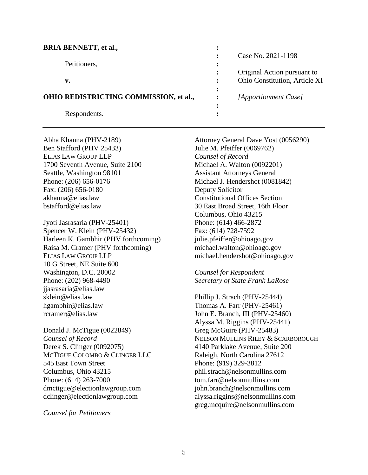| <b>BRIA BENNETT, et al.,</b>           |                        |                               |
|----------------------------------------|------------------------|-------------------------------|
|                                        |                        | Case No. 2021-1198            |
| Petitioners,                           |                        |                               |
|                                        |                        | Original Action pursuant to   |
| v.                                     | $\ddot{\cdot}$         | Ohio Constitution, Article XI |
|                                        |                        |                               |
| OHIO REDISTRICTING COMMISSION, et al., |                        | [Apportionment Case]          |
|                                        | $\bullet$<br>$\bullet$ |                               |
| Respondents.                           |                        |                               |
|                                        |                        |                               |

Ben Stafford (PHV 25433) Julie M. Pfeiffer (0069762) ELIAS LAW GROUP LLP *Counsel of Record* 1700 Seventh Avenue, Suite 2100 Michael A. Walton (0092201) Seattle, Washington 98101 **Assistant Attorneys General** Fax: (206) 656-0180 Deputy Solicitor akhanna@elias.law Constitutional Offices Section bstafford@elias.law 30 East Broad Street, 16th Floor

Jyoti Jasrasaria (PHV-25401) Phone: (614) 466-2872 Spencer W. Klein (PHV-25432) Fax: (614) 728-7592 Harleen K. Gambhir (PHV forthcoming) julie.pfeiffer@ohioago.gov Raisa M. Cramer (PHV forthcoming) michael.walton@ohioago.gov ELIAS LAW GROUP LLP michael.hendershot@ohioago.gov 10 G Street, NE Suite 600 Washington, D.C. 20002 *Counsel for Respondent*  Phone: (202) 968-4490 *Secretary of State Frank LaRose*  jjasrasaria@elias.law sklein@elias.law Phillip J. Strach (PHV-25444) hgambhir@elias.law Thomas A. Farr (PHV-25461) rcramer@elias.law John E. Branch, III (PHV-25460)

Donald J. McTigue (0022849) Greg McGuire (PHV-25483) Derek S. Clinger (0092075) 4140 Parklake Avenue, Suite 200 MCTIGUE COLOMBO & CLINGER LLC Raleigh, North Carolina 27612 545 East Town Street Phone: (919) 329-3812 Columbus, Ohio 43215 phil.strach@nelsonmullins.com Phone: (614) 263-7000 tom.farr@nelsonmullins.com dmctigue@electionlawgroup.com john.branch@nelsonmullins.com dclinger@electionlawgroup.com alyssa.riggins@nelsonmullins.com

*Counsel for Petitioners* 

Abha Khanna (PHV-2189) Attorney General Dave Yost (0056290) Phone: (206) 656-0176 Michael J. Hendershot (0081842) Columbus, Ohio 43215

Alyssa M. Riggins (PHV-25441) *Counsel of Record* NELSON MULLINS RILEY & SCARBOROUGH greg.mcquire@nelsonmullins.com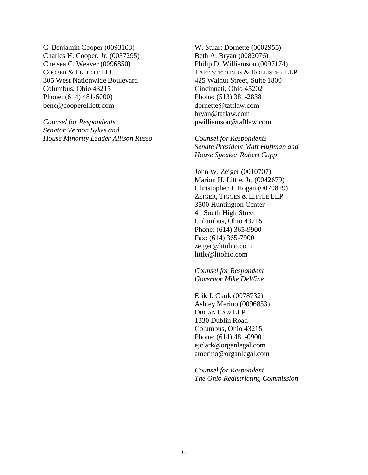C. Benjamin Cooper (0093103) W. Stuart Dornette (0002955) Charles H. Cooper, Jr. (0037295) Beth A. Bryan (0082076) Chelsea C. Weaver (0096850) Philip D. Williamson (0097174) 305 West Nationwide Boulevard 425 Walnut Street, Suite 1800 Columbus, Ohio 43215 Cincinnati, Ohio 45202 Phone: (614) 481-6000) Phone: (513) 381-2838 benc@cooperelliott.com dornette@tatflaw.com

*Counsel for Respondents* pwilliamson@taftlaw.com *Senator Vernon Sykes and House Minority Leader Allison Russo Counsel for Respondents* 

COOPER & ELLIOTT LLC TAFT STETTINUS & HOLLISTER LLP bryan@taflaw.com

> *Senate President Matt Huffman and House Speaker Robert Cupp*

John W. Zeiger (0010707) Marion H. Little, Jr. (0042679) Christopher J. Hogan (0079829) ZEIGER, TIGGES & LITTLE LLP 3500 Huntington Center 41 South High Street Columbus, Ohio 43215 Phone: (614) 365-9900 Fax: (614) 365-7900 zeiger@litohio.com little@litohio.com

*Counsel for Respondent Governor Mike DeWine* 

Erik J. Clark (0078732) Ashley Merino (0096853) ORGAN LAW LLP 1330 Dublin Road Columbus, Ohio 43215 Phone: (614) 481-0900 ejclark@organlegal.com amerino@organlegal.com

*Counsel for Respondent The Ohio Redistricting Commission*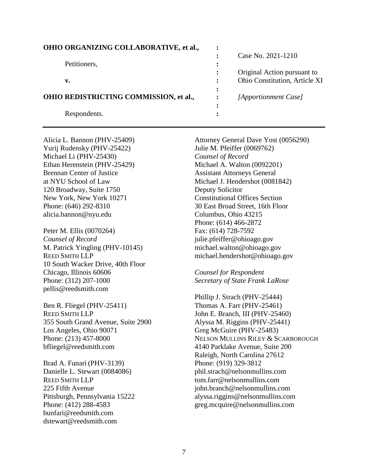| <b>OHIO ORGANIZING COLLABORATIVE, et al.,</b> |                |                               |
|-----------------------------------------------|----------------|-------------------------------|
|                                               |                | Case No. 2021-1210            |
| Petitioners,                                  | ٠              |                               |
|                                               |                | Original Action pursuant to   |
| v.                                            | $\ddot{\cdot}$ | Ohio Constitution, Article XI |
|                                               | ٠<br>$\bullet$ |                               |
| OHIO REDISTRICTING COMMISSION, et al.,        |                | [Apportionment Case]          |
|                                               |                |                               |
| Respondents.                                  |                |                               |
|                                               |                |                               |

Yurij Rudensky (PHV-25422) Julie M. Pfeiffer (0069762) Michael Li (PHV-25430) *Counsel of Record* Ethan Herenstein (PHV-25429) Michael A. Walton (0092201) Brennan Center of Justice Assistant Attorneys General 120 Broadway, Suite 1750 Deputy Solicitor New York, New York 10271 Constitutional Offices Section alicia.bannon@nyu.edu Columbus, Ohio 43215

Peter M. Ellis (0070264) Fax: (614) 728-7592 *Counsel of Record* julie.pfeiffer@ohioago.gov M. Patrick Yingling (PHV-10145) michael.walton@ohioago.gov REED SMITH LLP michael.hendershot@ohioago.gov 10 South Wacker Drive, 40th Floor Chicago, Illinois 60606 *Counsel for Respondent*  Phone: (312) 207-1000 *Secretary of State Frank LaRose*  pellis@reedsmith.com

Ben R. Fliegel (PHV-25411) Thomas A. Farr (PHV-25461) REED SMITH LLP John E. Branch, III (PHV-25460) 355 South Grand Avenue, Suite 2900 Alyssa M. Riggins (PHV-25441) Los Angeles, Ohio 90071 Greg McGuire (PHV-25483) bfliegel@reedsmith.com 4140 Parklake Avenue, Suite 200

Brad A. Funari (PHV-3139) Phone: (919) 329-3812 REED SMITH LLP tom.farr@nelsonmullins.com bunfari@reedsmith.com dstewart@reedsmith.com

Alicia L. Bannon (PHV-25409) Attorney General Dave Yost (0056290) at NYU School of Law Michael J. Hendershot (0081842) Phone: (646) 292-8310 30 East Broad Street, 16th Floor Phone: (614) 466-2872

Phillip J. Strach (PHV-25444) Phone: (213) 457-8000 NELSON MULLINS RILEY & SCARBOROUGH Raleigh, North Carolina 27612 Danielle L. Stewart (0084086) bhil.strach@nelsonmullins.com 225 Fifth Avenue john.branch@nelsonmullins.com Pittsburgh, Pennsylvania 15222 alyssa.riggins@nelsonmullins.com Phone: (412) 288-4583 greg.mcquire@nelsonmullins.com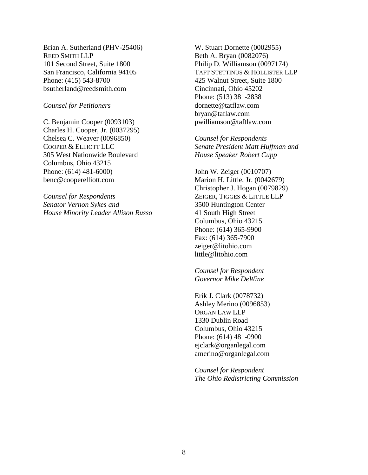Brian A. Sutherland (PHV-25406) W. Stuart Dornette (0002955) REED SMITH LLP Beth A. Bryan (0082076) 101 Second Street, Suite 1800 Philip D. Williamson (0097174) Phone: (415) 543-8700 425 Walnut Street, Suite 1800 bsutherland@reedsmith.com Cincinnati, Ohio 45202

C. Benjamin Cooper (0093103) pwilliamson@taftlaw.com Charles H. Cooper, Jr. (0037295) Chelsea C. Weaver (0096850) *Counsel for Respondents* 305 West Nationwide Boulevard *House Speaker Robert Cupp* Columbus, Ohio 43215 Phone: (614) 481-6000) John W. Zeiger (0010707) benc@cooperelliott.com Marion H. Little, Jr. (0042679)

*Counsel for Respondents* ZEIGER, TIGGES & LITTLE LLP *Senator Vernon Sykes and* 3500 Huntington Center *House Minority Leader Allison Russo* 41 South High Street

San Francisco, California 94105 TAFT STETTINUS & HOLLISTER LLP Phone: (513) 381-2838 *Counsel for Petitioners* dornette@tatflaw.com bryan@taflaw.com

COOPER & ELLIOTT LLC *Senate President Matt Huffman and* 

Christopher J. Hogan (0079829) Columbus, Ohio 43215 Phone: (614) 365-9900 Fax: (614) 365-7900 zeiger@litohio.com little@litohio.com

*Counsel for Respondent Governor Mike DeWine* 

Erik J. Clark (0078732) Ashley Merino (0096853) ORGAN LAW LLP 1330 Dublin Road Columbus, Ohio 43215 Phone: (614) 481-0900 ejclark@organlegal.com amerino@organlegal.com

*Counsel for Respondent The Ohio Redistricting Commission*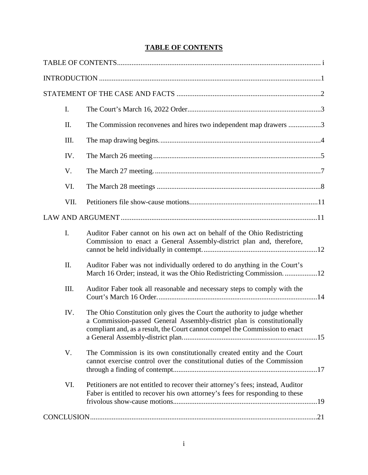# **TABLE OF CONTENTS**

| I.   |                                                                                                                                                                                                                                    |
|------|------------------------------------------------------------------------------------------------------------------------------------------------------------------------------------------------------------------------------------|
| Π.   | The Commission reconvenes and hires two independent map drawers 3                                                                                                                                                                  |
| III. |                                                                                                                                                                                                                                    |
| IV.  |                                                                                                                                                                                                                                    |
| V.   |                                                                                                                                                                                                                                    |
| VI.  |                                                                                                                                                                                                                                    |
| VII. |                                                                                                                                                                                                                                    |
|      |                                                                                                                                                                                                                                    |
| I.   | Auditor Faber cannot on his own act on behalf of the Ohio Redistricting<br>Commission to enact a General Assembly-district plan and, therefore,                                                                                    |
| II.  | Auditor Faber was not individually ordered to do anything in the Court's<br>March 16 Order; instead, it was the Ohio Redistricting Commission12                                                                                    |
| III. | Auditor Faber took all reasonable and necessary steps to comply with the                                                                                                                                                           |
| IV.  | The Ohio Constitution only gives the Court the authority to judge whether<br>a Commission-passed General Assembly-district plan is constitutionally<br>compliant and, as a result, the Court cannot compel the Commission to enact |
| V.   | The Commission is its own constitutionally created entity and the Court<br>cannot exercise control over the constitutional duties of the Commission                                                                                |
| VI.  | Petitioners are not entitled to recover their attorney's fees; instead, Auditor<br>Faber is entitled to recover his own attorney's fees for responding to these                                                                    |
|      |                                                                                                                                                                                                                                    |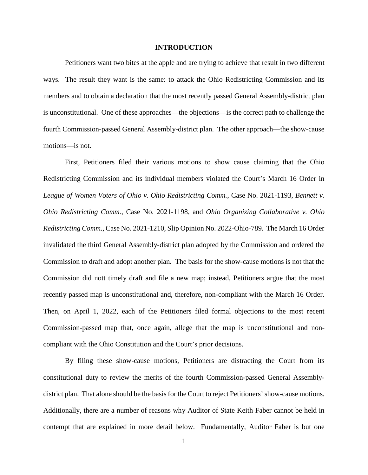#### **INTRODUCTION**

Petitioners want two bites at the apple and are trying to achieve that result in two different ways. The result they want is the same: to attack the Ohio Redistricting Commission and its members and to obtain a declaration that the most recently passed General Assembly-district plan is unconstitutional. One of these approaches—the objections—is the correct path to challenge the fourth Commission-passed General Assembly-district plan. The other approach—the show-cause motions—is not.

First, Petitioners filed their various motions to show cause claiming that the Ohio Redistricting Commission and its individual members violated the Court's March 16 Order in *League of Women Voters of Ohio v. Ohio Redistricting Comm.*, Case No. 2021-1193, *Bennett v. Ohio Redistricting Comm.*, Case No. 2021-1198, and *Ohio Organizing Collaborative v. Ohio Redistricting Comm.*, Case No. 2021-1210, Slip Opinion No. 2022-Ohio-789. The March 16 Order invalidated the third General Assembly-district plan adopted by the Commission and ordered the Commission to draft and adopt another plan. The basis for the show-cause motions is not that the Commission did nott timely draft and file a new map; instead, Petitioners argue that the most recently passed map is unconstitutional and, therefore, non-compliant with the March 16 Order. Then, on April 1, 2022, each of the Petitioners filed formal objections to the most recent Commission-passed map that, once again, allege that the map is unconstitutional and noncompliant with the Ohio Constitution and the Court's prior decisions.

By filing these show-cause motions, Petitioners are distracting the Court from its constitutional duty to review the merits of the fourth Commission-passed General Assemblydistrict plan. That alone should be the basis for the Court to reject Petitioners' show-cause motions. Additionally, there are a number of reasons why Auditor of State Keith Faber cannot be held in contempt that are explained in more detail below. Fundamentally, Auditor Faber is but one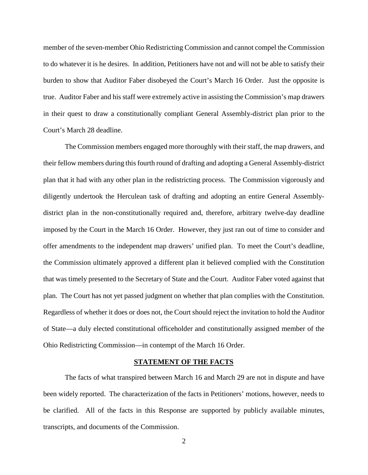member of the seven-member Ohio Redistricting Commission and cannot compel the Commission to do whatever it is he desires. In addition, Petitioners have not and will not be able to satisfy their burden to show that Auditor Faber disobeyed the Court's March 16 Order. Just the opposite is true. Auditor Faber and his staff were extremely active in assisting the Commission's map drawers in their quest to draw a constitutionally compliant General Assembly-district plan prior to the Court's March 28 deadline.

The Commission members engaged more thoroughly with their staff, the map drawers, and their fellow members during this fourth round of drafting and adopting a General Assembly-district plan that it had with any other plan in the redistricting process. The Commission vigorously and diligently undertook the Herculean task of drafting and adopting an entire General Assemblydistrict plan in the non-constitutionally required and, therefore, arbitrary twelve-day deadline imposed by the Court in the March 16 Order. However, they just ran out of time to consider and offer amendments to the independent map drawers' unified plan. To meet the Court's deadline, the Commission ultimately approved a different plan it believed complied with the Constitution that was timely presented to the Secretary of State and the Court. Auditor Faber voted against that plan. The Court has not yet passed judgment on whether that plan complies with the Constitution. Regardless of whether it does or does not, the Court should reject the invitation to hold the Auditor of State—a duly elected constitutional officeholder and constitutionally assigned member of the Ohio Redistricting Commission—in contempt of the March 16 Order.

### **STATEMENT OF THE FACTS**

The facts of what transpired between March 16 and March 29 are not in dispute and have been widely reported. The characterization of the facts in Petitioners' motions, however, needs to be clarified. All of the facts in this Response are supported by publicly available minutes, transcripts, and documents of the Commission.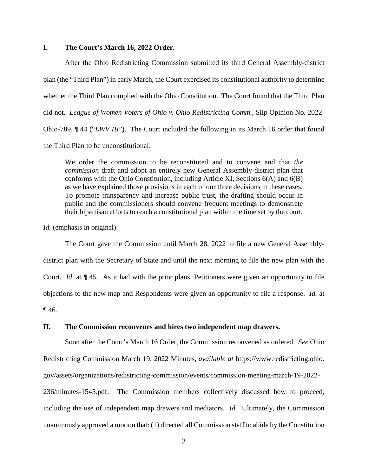### **I. The Court's March 16, 2022 Order.**

After the Ohio Redistricting Commission submitted its third General Assembly-district plan (the "Third Plan") in early March, the Court exercised its constitutional authority to determine whether the Third Plan complied with the Ohio Constitution. The Court found that the Third Plan did not. *League of Women Voters of Ohio v. Ohio Redistricting Comm.*, Slip Opinion No. 2022- Ohio-789, ¶ 44 ("*LWV III*"). The Court included the following in its March 16 order that found the Third Plan to be unconstitutional:

We order the commission to be reconstituted and to convene and that *the commission* draft and adopt an entirely new General Assembly-district plan that conforms with the Ohio Constitution, including Article XI, Sections 6(A) and 6(B) as we have explained those provisions in each of our three decisions in these cases. To promote transparency and increase public trust, the drafting should occur in public and the commissioners should convene frequent meetings to demonstrate their bipartisan efforts to reach a constitutional plan within the time set by the court.

*Id.* (emphasis in original).

The Court gave the Commission until March 28, 2022 to file a new General Assemblydistrict plan with the Secretary of State and until the next morning to file the new plan with the Court. *Id.* at ¶ 45. As it had with the prior plans, Petitioners were given an opportunity to file objections to the new map and Respondents were given an opportunity to file a response. *Id.* at  $\P$  46.

## **II. The Commission reconvenes and hires two independent map drawers.**

Soon after the Court's March 16 Order, the Commission reconvened as ordered. *See* Ohio Redistricting Commission March 19, 2022 Minutes, *available at* https://www.redistricting.ohio. gov/assets/organizations/redistricting-commission/events/commission-meeting-march-19-2022- 236/minutes-1545.pdf. The Commission members collectively discussed how to proceed, including the use of independent map drawers and mediators. *Id.* Ultimately, the Commission unanimously approved a motion that: (1) directed all Commission staff to abide by the Constitution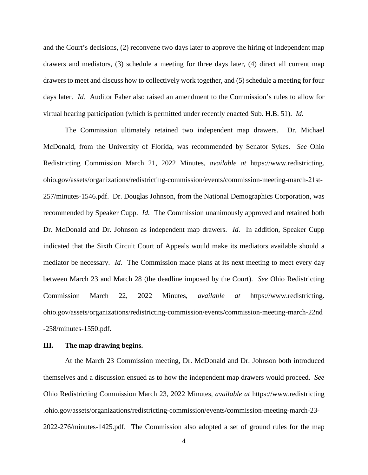and the Court's decisions, (2) reconvene two days later to approve the hiring of independent map drawers and mediators, (3) schedule a meeting for three days later, (4) direct all current map drawers to meet and discuss how to collectively work together, and (5) schedule a meeting for four days later. *Id.* Auditor Faber also raised an amendment to the Commission's rules to allow for virtual hearing participation (which is permitted under recently enacted Sub. H.B. 51). *Id.*

The Commission ultimately retained two independent map drawers. Dr. Michael McDonald, from the University of Florida, was recommended by Senator Sykes. *See* Ohio Redistricting Commission March 21, 2022 Minutes, *available at* https://www.redistricting. ohio.gov/assets/organizations/redistricting-commission/events/commission-meeting-march-21st-257/minutes-1546.pdf. Dr. Douglas Johnson, from the National Demographics Corporation, was recommended by Speaker Cupp. *Id.* The Commission unanimously approved and retained both Dr. McDonald and Dr. Johnson as independent map drawers. *Id.* In addition, Speaker Cupp indicated that the Sixth Circuit Court of Appeals would make its mediators available should a mediator be necessary. *Id.* The Commission made plans at its next meeting to meet every day between March 23 and March 28 (the deadline imposed by the Court). *See* Ohio Redistricting Commission March 22, 2022 Minutes, *available at* https://www.redistricting. ohio.gov/assets/organizations/redistricting-commission/events/commission-meeting-march-22nd -258/minutes-1550.pdf.

### **III. The map drawing begins.**

At the March 23 Commission meeting, Dr. McDonald and Dr. Johnson both introduced themselves and a discussion ensued as to how the independent map drawers would proceed. *See* Ohio Redistricting Commission March 23, 2022 Minutes, *available at* https://www.redistricting .ohio.gov/assets/organizations/redistricting-commission/events/commission-meeting-march-23- 2022-276/minutes-1425.pdf. The Commission also adopted a set of ground rules for the map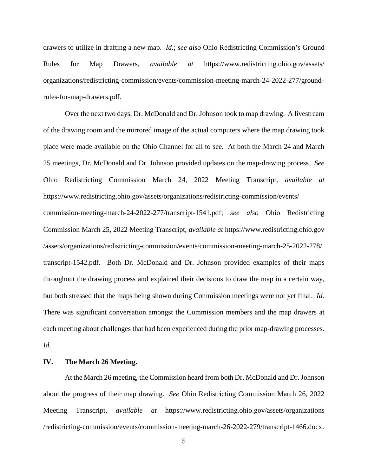drawers to utilize in drafting a new map. *Id.*; *see also* Ohio Redistricting Commission's Ground Rules for Map Drawers, *available at* https://www.redistricting.ohio.gov/assets/ organizations/redistricting-commission/events/commission-meeting-march-24-2022-277/groundrules-for-map-drawers.pdf.

Over the next two days, Dr. McDonald and Dr. Johnson took to map drawing. A livestream of the drawing room and the mirrored image of the actual computers where the map drawing took place were made available on the Ohio Channel for all to see. At both the March 24 and March 25 meetings, Dr. McDonald and Dr. Johnson provided updates on the map-drawing process. *See* Ohio Redistricting Commission March 24, 2022 Meeting Transcript, *available at* https://www.redistricting.ohio.gov/assets/organizations/redistricting-commission/events/ commission-meeting-march-24-2022-277/transcript-1541.pdf; *see also* Ohio Redistricting Commission March 25, 2022 Meeting Transcript, *available at* https://www.redistricting.ohio.gov /assets/organizations/redistricting-commission/events/commission-meeting-march-25-2022-278/ transcript-1542.pdf. Both Dr. McDonald and Dr. Johnson provided examples of their maps throughout the drawing process and explained their decisions to draw the map in a certain way, but both stressed that the maps being shown during Commission meetings were not yet final. *Id.* There was significant conversation amongst the Commission members and the map drawers at each meeting about challenges that had been experienced during the prior map-drawing processes. *Id.* 

#### **IV. The March 26 Meeting.**

At the March 26 meeting, the Commission heard from both Dr. McDonald and Dr. Johnson about the progress of their map drawing. *See* Ohio Redistricting Commission March 26, 2022 Meeting Transcript, *available at* https://www.redistricting.ohio.gov/assets/organizations /redistricting-commission/events/commission-meeting-march-26-2022-279/transcript-1466.docx.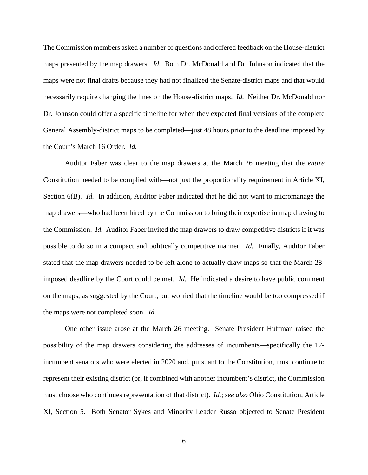The Commission members asked a number of questions and offered feedback on the House-district maps presented by the map drawers. *Id.* Both Dr. McDonald and Dr. Johnson indicated that the maps were not final drafts because they had not finalized the Senate-district maps and that would necessarily require changing the lines on the House-district maps. *Id.* Neither Dr. McDonald nor Dr. Johnson could offer a specific timeline for when they expected final versions of the complete General Assembly-district maps to be completed—just 48 hours prior to the deadline imposed by the Court's March 16 Order. *Id.*

Auditor Faber was clear to the map drawers at the March 26 meeting that the *entire* Constitution needed to be complied with—not just the proportionality requirement in Article XI, Section 6(B). *Id.* In addition, Auditor Faber indicated that he did not want to micromanage the map drawers—who had been hired by the Commission to bring their expertise in map drawing to the Commission. *Id.* Auditor Faber invited the map drawers to draw competitive districts if it was possible to do so in a compact and politically competitive manner. *Id.* Finally, Auditor Faber stated that the map drawers needed to be left alone to actually draw maps so that the March 28 imposed deadline by the Court could be met. *Id.* He indicated a desire to have public comment on the maps, as suggested by the Court, but worried that the timeline would be too compressed if the maps were not completed soon. *Id.*

One other issue arose at the March 26 meeting. Senate President Huffman raised the possibility of the map drawers considering the addresses of incumbents—specifically the 17 incumbent senators who were elected in 2020 and, pursuant to the Constitution, must continue to represent their existing district (or, if combined with another incumbent's district, the Commission must choose who continues representation of that district). *Id.*; *see also* Ohio Constitution, Article XI, Section 5. Both Senator Sykes and Minority Leader Russo objected to Senate President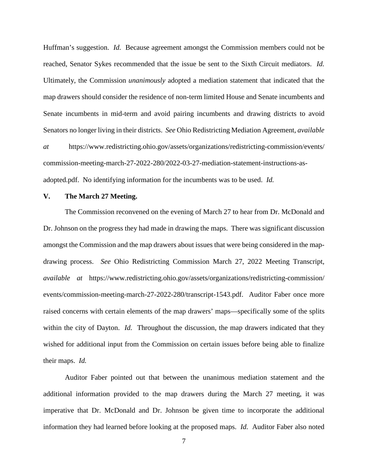Huffman's suggestion. *Id.* Because agreement amongst the Commission members could not be reached, Senator Sykes recommended that the issue be sent to the Sixth Circuit mediators. *Id.* Ultimately, the Commission *unanimously* adopted a mediation statement that indicated that the map drawers should consider the residence of non-term limited House and Senate incumbents and Senate incumbents in mid-term and avoid pairing incumbents and drawing districts to avoid Senators no longer living in their districts. *See* Ohio Redistricting Mediation Agreement, *available at* https://www.redistricting.ohio.gov/assets/organizations/redistricting-commission/events/ commission-meeting-march-27-2022-280/2022-03-27-mediation-statement-instructions-asadopted.pdf. No identifying information for the incumbents was to be used. *Id.* 

### **V. The March 27 Meeting.**

The Commission reconvened on the evening of March 27 to hear from Dr. McDonald and Dr. Johnson on the progress they had made in drawing the maps. There was significant discussion amongst the Commission and the map drawers about issues that were being considered in the mapdrawing process. *See* Ohio Redistricting Commission March 27, 2022 Meeting Transcript, *available at* https://www.redistricting.ohio.gov/assets/organizations/redistricting-commission/ events/commission-meeting-march-27-2022-280/transcript-1543.pdf. Auditor Faber once more raised concerns with certain elements of the map drawers' maps—specifically some of the splits within the city of Dayton. *Id.* Throughout the discussion, the map drawers indicated that they wished for additional input from the Commission on certain issues before being able to finalize their maps. *Id.*

Auditor Faber pointed out that between the unanimous mediation statement and the additional information provided to the map drawers during the March 27 meeting, it was imperative that Dr. McDonald and Dr. Johnson be given time to incorporate the additional information they had learned before looking at the proposed maps. *Id.* Auditor Faber also noted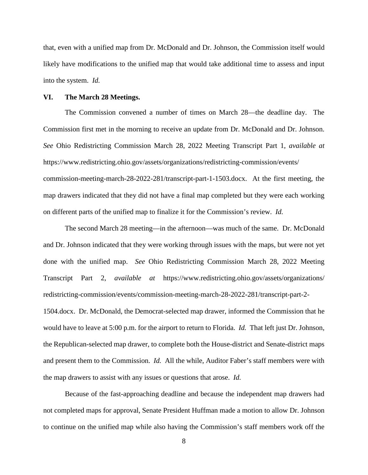that, even with a unified map from Dr. McDonald and Dr. Johnson, the Commission itself would likely have modifications to the unified map that would take additional time to assess and input into the system. *Id.*

#### **VI. The March 28 Meetings.**

The Commission convened a number of times on March 28—the deadline day. The Commission first met in the morning to receive an update from Dr. McDonald and Dr. Johnson. *See* Ohio Redistricting Commission March 28, 2022 Meeting Transcript Part 1, *available at*  https://www.redistricting.ohio.gov/assets/organizations/redistricting-commission/events/ commission-meeting-march-28-2022-281/transcript-part-1-1503.docx. At the first meeting, the map drawers indicated that they did not have a final map completed but they were each working on different parts of the unified map to finalize it for the Commission's review. *Id.*

The second March 28 meeting—in the afternoon—was much of the same. Dr. McDonald and Dr. Johnson indicated that they were working through issues with the maps, but were not yet done with the unified map. *See* Ohio Redistricting Commission March 28, 2022 Meeting Transcript Part 2, *available at* https://www.redistricting.ohio.gov/assets/organizations/ redistricting-commission/events/commission-meeting-march-28-2022-281/transcript-part-2- 1504.docx. Dr. McDonald, the Democrat-selected map drawer, informed the Commission that he would have to leave at 5:00 p.m. for the airport to return to Florida. *Id.* That left just Dr. Johnson, the Republican-selected map drawer, to complete both the House-district and Senate-district maps and present them to the Commission. *Id.* All the while, Auditor Faber's staff members were with the map drawers to assist with any issues or questions that arose. *Id.*

Because of the fast-approaching deadline and because the independent map drawers had not completed maps for approval, Senate President Huffman made a motion to allow Dr. Johnson to continue on the unified map while also having the Commission's staff members work off the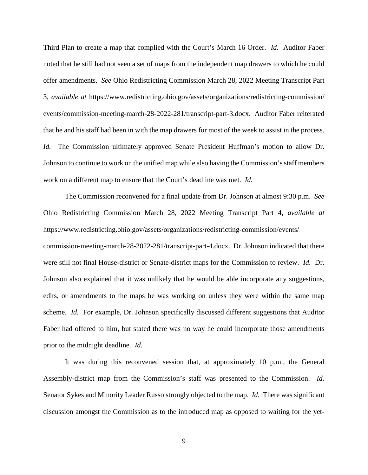Third Plan to create a map that complied with the Court's March 16 Order. *Id.* Auditor Faber noted that he still had not seen a set of maps from the independent map drawers to which he could offer amendments. *See* Ohio Redistricting Commission March 28, 2022 Meeting Transcript Part 3, *available at* https://www.redistricting.ohio.gov/assets/organizations/redistricting-commission/ events/commission-meeting-march-28-2022-281/transcript-part-3.docx. Auditor Faber reiterated that he and his staff had been in with the map drawers for most of the week to assist in the process. *Id.* The Commission ultimately approved Senate President Huffman's motion to allow Dr. Johnson to continue to work on the unified map while also having the Commission's staff members work on a different map to ensure that the Court's deadline was met. *Id.*

The Commission reconvened for a final update from Dr. Johnson at almost 9:30 p.m. *See* Ohio Redistricting Commission March 28, 2022 Meeting Transcript Part 4, *available at*  https://www.redistricting.ohio.gov/assets/organizations/redistricting-commission/events/ commission-meeting-march-28-2022-281/transcript-part-4.docx. Dr. Johnson indicated that there were still not final House-district or Senate-district maps for the Commission to review. *Id.* Dr. Johnson also explained that it was unlikely that he would be able incorporate any suggestions, edits, or amendments to the maps he was working on unless they were within the same map scheme. *Id.* For example, Dr. Johnson specifically discussed different suggestions that Auditor Faber had offered to him, but stated there was no way he could incorporate those amendments prior to the midnight deadline. *Id.*

It was during this reconvened session that, at approximately 10 p.m., the General Assembly-district map from the Commission's staff was presented to the Commission. *Id.* Senator Sykes and Minority Leader Russo strongly objected to the map. *Id.* There was significant discussion amongst the Commission as to the introduced map as opposed to waiting for the yet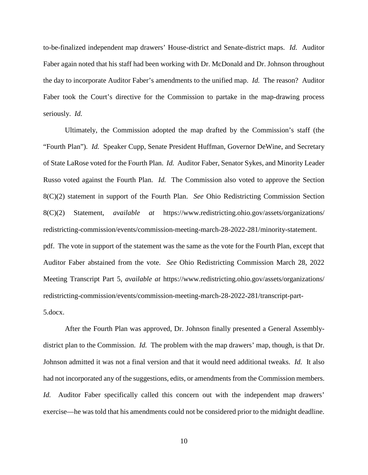to-be-finalized independent map drawers' House-district and Senate-district maps. *Id.* Auditor Faber again noted that his staff had been working with Dr. McDonald and Dr. Johnson throughout the day to incorporate Auditor Faber's amendments to the unified map. *Id.* The reason? Auditor Faber took the Court's directive for the Commission to partake in the map-drawing process seriously. *Id.*

Ultimately, the Commission adopted the map drafted by the Commission's staff (the "Fourth Plan"). *Id.* Speaker Cupp, Senate President Huffman, Governor DeWine, and Secretary of State LaRose voted for the Fourth Plan. *Id.* Auditor Faber, Senator Sykes, and Minority Leader Russo voted against the Fourth Plan. *Id.* The Commission also voted to approve the Section 8(C)(2) statement in support of the Fourth Plan. *See* Ohio Redistricting Commission Section 8(C)(2) Statement, *available at* https://www.redistricting.ohio.gov/assets/organizations/ redistricting-commission/events/commission-meeting-march-28-2022-281/minority-statement. pdf. The vote in support of the statement was the same as the vote for the Fourth Plan, except that Auditor Faber abstained from the vote. *See* Ohio Redistricting Commission March 28, 2022 Meeting Transcript Part 5, *available at* https://www.redistricting.ohio.gov/assets/organizations/ redistricting-commission/events/commission-meeting-march-28-2022-281/transcript-part-5.docx.

After the Fourth Plan was approved, Dr. Johnson finally presented a General Assemblydistrict plan to the Commission. *Id.* The problem with the map drawers' map, though, is that Dr. Johnson admitted it was not a final version and that it would need additional tweaks. *Id.* It also had not incorporated any of the suggestions, edits, or amendments from the Commission members. *Id.* Auditor Faber specifically called this concern out with the independent map drawers' exercise—he was told that his amendments could not be considered prior to the midnight deadline.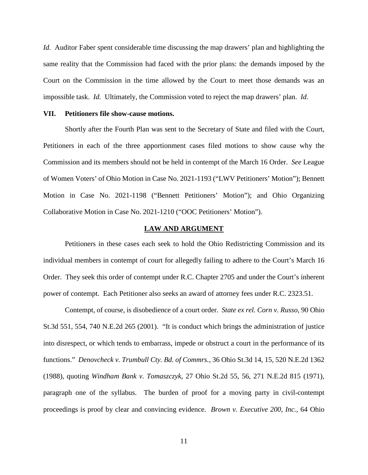*Id.* Auditor Faber spent considerable time discussing the map drawers' plan and highlighting the same reality that the Commission had faced with the prior plans: the demands imposed by the Court on the Commission in the time allowed by the Court to meet those demands was an impossible task. *Id.* Ultimately, the Commission voted to reject the map drawers' plan. *Id.*

#### **VII. Petitioners file show-cause motions.**

Shortly after the Fourth Plan was sent to the Secretary of State and filed with the Court, Petitioners in each of the three apportionment cases filed motions to show cause why the Commission and its members should not be held in contempt of the March 16 Order. *See* League of Women Voters' of Ohio Motion in Case No. 2021-1193 ("LWV Petitioners' Motion"); Bennett Motion in Case No. 2021-1198 ("Bennett Petitioners' Motion"); and Ohio Organizing Collaborative Motion in Case No. 2021-1210 ("OOC Petitioners' Motion").

#### **LAW AND ARGUMENT**

Petitioners in these cases each seek to hold the Ohio Redistricting Commission and its individual members in contempt of court for allegedly failing to adhere to the Court's March 16 Order. They seek this order of contempt under R.C. Chapter 2705 and under the Court's inherent power of contempt. Each Petitioner also seeks an award of attorney fees under R.C. 2323.51.

Contempt, of course, is disobedience of a court order. *State ex rel. Corn v. Russo*, 90 Ohio St.3d 551, 554, 740 N.E.2d 265 (2001). "It is conduct which brings the administration of justice into disrespect, or which tends to embarrass, impede or obstruct a court in the performance of its functions." *Denovcheck v. Trumbull Cty. Bd. of Commrs.*, 36 Ohio St.3d 14, 15, 520 N.E.2d 1362 (1988), quoting *Windham Bank v. Tomaszczyk*, 27 Ohio St.2d 55, 56, 271 N.E.2d 815 (1971), paragraph one of the syllabus. The burden of proof for a moving party in civil-contempt proceedings is proof by clear and convincing evidence. *Brown v. Executive 200, Inc.*, 64 Ohio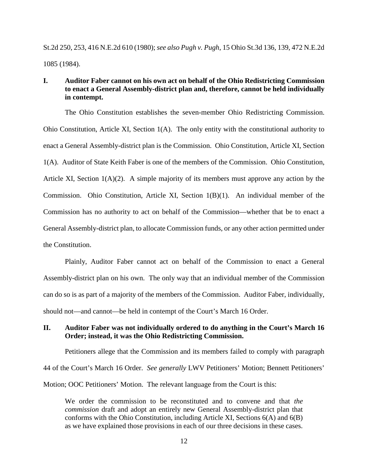St.2d 250, 253, 416 N.E.2d 610 (1980); *see also Pugh v. Pugh*, 15 Ohio St.3d 136, 139, 472 N.E.2d 1085 (1984).

# **I. Auditor Faber cannot on his own act on behalf of the Ohio Redistricting Commission to enact a General Assembly-district plan and, therefore, cannot be held individually in contempt.**

The Ohio Constitution establishes the seven-member Ohio Redistricting Commission. Ohio Constitution, Article XI, Section 1(A). The only entity with the constitutional authority to enact a General Assembly-district plan is the Commission. Ohio Constitution, Article XI, Section 1(A). Auditor of State Keith Faber is one of the members of the Commission. Ohio Constitution, Article XI, Section  $1(A)(2)$ . A simple majority of its members must approve any action by the Commission. Ohio Constitution, Article XI, Section 1(B)(1). An individual member of the Commission has no authority to act on behalf of the Commission—whether that be to enact a General Assembly-district plan, to allocate Commission funds, or any other action permitted under the Constitution.

Plainly, Auditor Faber cannot act on behalf of the Commission to enact a General Assembly-district plan on his own. The only way that an individual member of the Commission can do so is as part of a majority of the members of the Commission. Auditor Faber, individually, should not—and cannot—be held in contempt of the Court's March 16 Order.

## **II. Auditor Faber was not individually ordered to do anything in the Court's March 16 Order; instead, it was the Ohio Redistricting Commission.**

Petitioners allege that the Commission and its members failed to comply with paragraph 44 of the Court's March 16 Order. *See generally* LWV Petitioners' Motion; Bennett Petitioners' Motion; OOC Petitioners' Motion. The relevant language from the Court is this:

We order the commission to be reconstituted and to convene and that *the commission* draft and adopt an entirely new General Assembly-district plan that conforms with the Ohio Constitution, including Article XI, Sections 6(A) and 6(B) as we have explained those provisions in each of our three decisions in these cases.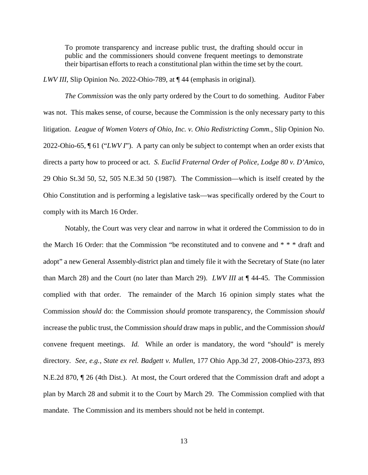To promote transparency and increase public trust, the drafting should occur in public and the commissioners should convene frequent meetings to demonstrate their bipartisan efforts to reach a constitutional plan within the time set by the court.

*LWV III*, Slip Opinion No. 2022-Ohio-789, at ¶ 44 (emphasis in original).

*The Commission* was the only party ordered by the Court to do something. Auditor Faber was not. This makes sense, of course, because the Commission is the only necessary party to this litigation. *League of Women Voters of Ohio, Inc. v. Ohio Redistricting Comm.*, Slip Opinion No. 2022-Ohio-65, ¶ 61 ("*LWV I*"). A party can only be subject to contempt when an order exists that directs a party how to proceed or act. *S. Euclid Fraternal Order of Police, Lodge 80 v. D'Amico*, 29 Ohio St.3d 50, 52, 505 N.E.3d 50 (1987). The Commission—which is itself created by the Ohio Constitution and is performing a legislative task—was specifically ordered by the Court to comply with its March 16 Order.

Notably, the Court was very clear and narrow in what it ordered the Commission to do in the March 16 Order: that the Commission "be reconstituted and to convene and \* \* \* draft and adopt" a new General Assembly-district plan and timely file it with the Secretary of State (no later than March 28) and the Court (no later than March 29). *LWV III* at ¶ 44-45. The Commission complied with that order. The remainder of the March 16 opinion simply states what the Commission *should* do: the Commission *should* promote transparency, the Commission *should* increase the public trust, the Commission *should* draw maps in public, and the Commission *should* convene frequent meetings. *Id.* While an order is mandatory, the word "should" is merely directory. *See, e.g.*, *State ex rel. Badgett v. Mullen*, 177 Ohio App.3d 27, 2008-Ohio-2373, 893 N.E.2d 870, ¶ 26 (4th Dist.). At most, the Court ordered that the Commission draft and adopt a plan by March 28 and submit it to the Court by March 29. The Commission complied with that mandate. The Commission and its members should not be held in contempt.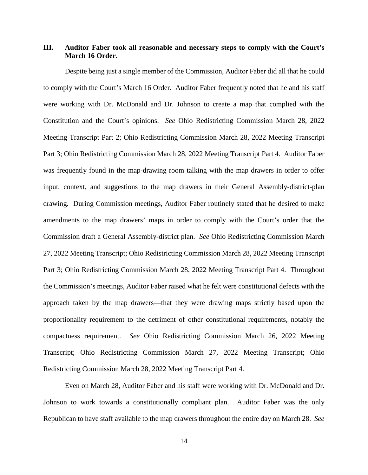# **III. Auditor Faber took all reasonable and necessary steps to comply with the Court's March 16 Order.**

Despite being just a single member of the Commission, Auditor Faber did all that he could to comply with the Court's March 16 Order. Auditor Faber frequently noted that he and his staff were working with Dr. McDonald and Dr. Johnson to create a map that complied with the Constitution and the Court's opinions. *See* Ohio Redistricting Commission March 28, 2022 Meeting Transcript Part 2; Ohio Redistricting Commission March 28, 2022 Meeting Transcript Part 3; Ohio Redistricting Commission March 28, 2022 Meeting Transcript Part 4. Auditor Faber was frequently found in the map-drawing room talking with the map drawers in order to offer input, context, and suggestions to the map drawers in their General Assembly-district-plan drawing. During Commission meetings, Auditor Faber routinely stated that he desired to make amendments to the map drawers' maps in order to comply with the Court's order that the Commission draft a General Assembly-district plan. *See* Ohio Redistricting Commission March 27, 2022 Meeting Transcript; Ohio Redistricting Commission March 28, 2022 Meeting Transcript Part 3; Ohio Redistricting Commission March 28, 2022 Meeting Transcript Part 4. Throughout the Commission's meetings, Auditor Faber raised what he felt were constitutional defects with the approach taken by the map drawers—that they were drawing maps strictly based upon the proportionality requirement to the detriment of other constitutional requirements, notably the compactness requirement. *See* Ohio Redistricting Commission March 26, 2022 Meeting Transcript; Ohio Redistricting Commission March 27, 2022 Meeting Transcript; Ohio Redistricting Commission March 28, 2022 Meeting Transcript Part 4.

Even on March 28, Auditor Faber and his staff were working with Dr. McDonald and Dr. Johnson to work towards a constitutionally compliant plan. Auditor Faber was the only Republican to have staff available to the map drawers throughout the entire day on March 28. *See*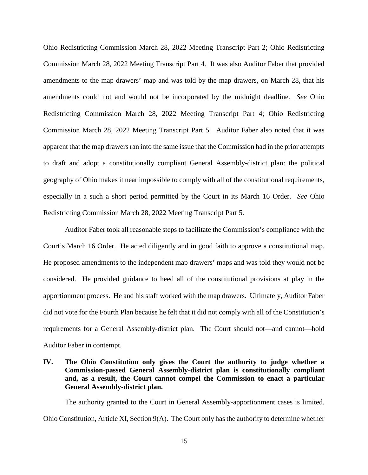Ohio Redistricting Commission March 28, 2022 Meeting Transcript Part 2; Ohio Redistricting Commission March 28, 2022 Meeting Transcript Part 4. It was also Auditor Faber that provided amendments to the map drawers' map and was told by the map drawers, on March 28, that his amendments could not and would not be incorporated by the midnight deadline. *See* Ohio Redistricting Commission March 28, 2022 Meeting Transcript Part 4; Ohio Redistricting Commission March 28, 2022 Meeting Transcript Part 5. Auditor Faber also noted that it was apparent that the map drawers ran into the same issue that the Commission had in the prior attempts to draft and adopt a constitutionally compliant General Assembly-district plan: the political geography of Ohio makes it near impossible to comply with all of the constitutional requirements, especially in a such a short period permitted by the Court in its March 16 Order. *See* Ohio Redistricting Commission March 28, 2022 Meeting Transcript Part 5.

Auditor Faber took all reasonable steps to facilitate the Commission's compliance with the Court's March 16 Order. He acted diligently and in good faith to approve a constitutional map. He proposed amendments to the independent map drawers' maps and was told they would not be considered. He provided guidance to heed all of the constitutional provisions at play in the apportionment process. He and his staff worked with the map drawers. Ultimately, Auditor Faber did not vote for the Fourth Plan because he felt that it did not comply with all of the Constitution's requirements for a General Assembly-district plan. The Court should not—and cannot—hold Auditor Faber in contempt.

**IV. The Ohio Constitution only gives the Court the authority to judge whether a Commission-passed General Assembly-district plan is constitutionally compliant and, as a result, the Court cannot compel the Commission to enact a particular General Assembly-district plan.** 

The authority granted to the Court in General Assembly-apportionment cases is limited. Ohio Constitution, Article XI, Section 9(A). The Court only has the authority to determine whether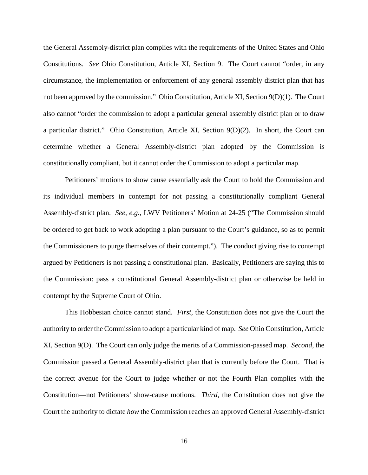the General Assembly-district plan complies with the requirements of the United States and Ohio Constitutions. *See* Ohio Constitution, Article XI, Section 9. The Court cannot "order, in any circumstance, the implementation or enforcement of any general assembly district plan that has not been approved by the commission." Ohio Constitution, Article XI, Section 9(D)(1). The Court also cannot "order the commission to adopt a particular general assembly district plan or to draw a particular district." Ohio Constitution, Article XI, Section 9(D)(2). In short, the Court can determine whether a General Assembly-district plan adopted by the Commission is constitutionally compliant, but it cannot order the Commission to adopt a particular map.

Petitioners' motions to show cause essentially ask the Court to hold the Commission and its individual members in contempt for not passing a constitutionally compliant General Assembly-district plan. *See, e.g.*, LWV Petitioners' Motion at 24-25 ("The Commission should be ordered to get back to work adopting a plan pursuant to the Court's guidance, so as to permit the Commissioners to purge themselves of their contempt."). The conduct giving rise to contempt argued by Petitioners is not passing a constitutional plan. Basically, Petitioners are saying this to the Commission: pass a constitutional General Assembly-district plan or otherwise be held in contempt by the Supreme Court of Ohio.

This Hobbesian choice cannot stand. *First*, the Constitution does not give the Court the authority to order the Commission to adopt a particular kind of map. *See* Ohio Constitution, Article XI, Section 9(D). The Court can only judge the merits of a Commission-passed map. *Second*, the Commission passed a General Assembly-district plan that is currently before the Court. That is the correct avenue for the Court to judge whether or not the Fourth Plan complies with the Constitution—not Petitioners' show-cause motions. *Third*, the Constitution does not give the Court the authority to dictate *how* the Commission reaches an approved General Assembly-district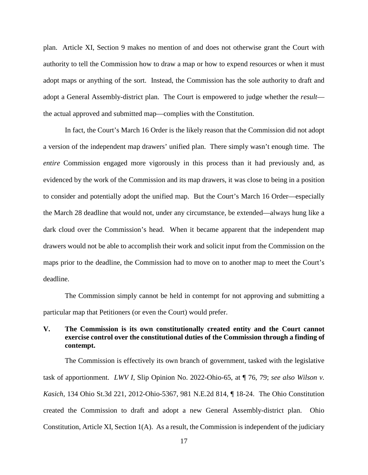plan. Article XI, Section 9 makes no mention of and does not otherwise grant the Court with authority to tell the Commission how to draw a map or how to expend resources or when it must adopt maps or anything of the sort. Instead, the Commission has the sole authority to draft and adopt a General Assembly-district plan. The Court is empowered to judge whether the *result* the actual approved and submitted map—complies with the Constitution.

In fact, the Court's March 16 Order is the likely reason that the Commission did not adopt a version of the independent map drawers' unified plan. There simply wasn't enough time. The *entire* Commission engaged more vigorously in this process than it had previously and, as evidenced by the work of the Commission and its map drawers, it was close to being in a position to consider and potentially adopt the unified map. But the Court's March 16 Order—especially the March 28 deadline that would not, under any circumstance, be extended—always hung like a dark cloud over the Commission's head. When it became apparent that the independent map drawers would not be able to accomplish their work and solicit input from the Commission on the maps prior to the deadline, the Commission had to move on to another map to meet the Court's deadline.

The Commission simply cannot be held in contempt for not approving and submitting a particular map that Petitioners (or even the Court) would prefer.

# **V. The Commission is its own constitutionally created entity and the Court cannot exercise control over the constitutional duties of the Commission through a finding of contempt.**

The Commission is effectively its own branch of government, tasked with the legislative task of apportionment. *LWV I*, Slip Opinion No. 2022-Ohio-65, at ¶ 76, 79; *see also Wilson v. Kasich*, 134 Ohio St.3d 221, 2012-Ohio-5367, 981 N.E.2d 814, ¶ 18-24. The Ohio Constitution created the Commission to draft and adopt a new General Assembly-district plan. Ohio Constitution, Article XI, Section 1(A). As a result, the Commission is independent of the judiciary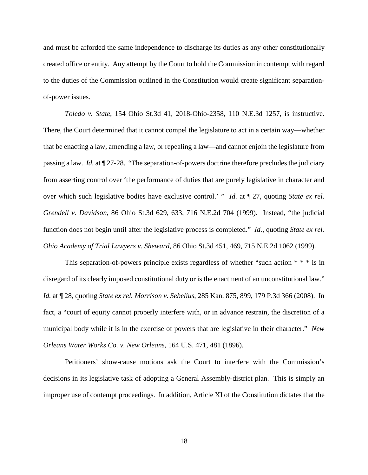and must be afforded the same independence to discharge its duties as any other constitutionally created office or entity. Any attempt by the Court to hold the Commission in contempt with regard to the duties of the Commission outlined in the Constitution would create significant separationof-power issues.

*Toledo v. State*, 154 Ohio St.3d 41, 2018-Ohio-2358, 110 N.E.3d 1257, is instructive. There, the Court determined that it cannot compel the legislature to act in a certain way—whether that be enacting a law, amending a law, or repealing a law—and cannot enjoin the legislature from passing a law. *Id.* at ¶ 27-28. "The separation-of-powers doctrine therefore precludes the judiciary from asserting control over 'the performance of duties that are purely legislative in character and over which such legislative bodies have exclusive control.' " *Id.* at ¶ 27, quoting *State ex rel. Grendell v. Davidson*, 86 Ohio St.3d 629, 633, 716 N.E.2d 704 (1999). Instead, "the judicial function does not begin until after the legislative process is completed." *Id.*, quoting *State ex rel. Ohio Academy of Trial Lawyers v. Sheward*, 86 Ohio St.3d 451, 469, 715 N.E.2d 1062 (1999).

This separation-of-powers principle exists regardless of whether "such action  $* * *$  is in disregard of its clearly imposed constitutional duty or is the enactment of an unconstitutional law." *Id.* at ¶ 28, quoting *State ex rel. Morrison v. Sebelius*, 285 Kan. 875, 899, 179 P.3d 366 (2008). In fact, a "court of equity cannot properly interfere with, or in advance restrain, the discretion of a municipal body while it is in the exercise of powers that are legislative in their character." *New Orleans Water Works Co. v. New Orleans*, 164 U.S. 471, 481 (1896).

Petitioners' show-cause motions ask the Court to interfere with the Commission's decisions in its legislative task of adopting a General Assembly-district plan. This is simply an improper use of contempt proceedings. In addition, Article XI of the Constitution dictates that the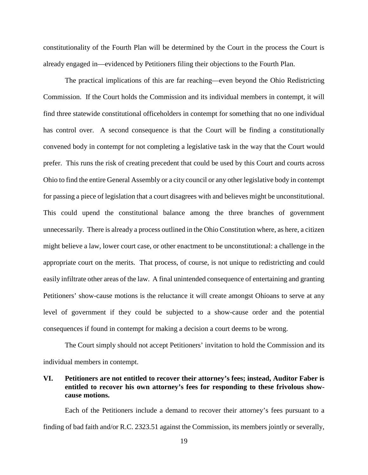constitutionality of the Fourth Plan will be determined by the Court in the process the Court is already engaged in—evidenced by Petitioners filing their objections to the Fourth Plan.

The practical implications of this are far reaching—even beyond the Ohio Redistricting Commission. If the Court holds the Commission and its individual members in contempt, it will find three statewide constitutional officeholders in contempt for something that no one individual has control over. A second consequence is that the Court will be finding a constitutionally convened body in contempt for not completing a legislative task in the way that the Court would prefer. This runs the risk of creating precedent that could be used by this Court and courts across Ohio to find the entire General Assembly or a city council or any other legislative body in contempt for passing a piece of legislation that a court disagrees with and believes might be unconstitutional. This could upend the constitutional balance among the three branches of government unnecessarily. There is already a process outlined in the Ohio Constitution where, as here, a citizen might believe a law, lower court case, or other enactment to be unconstitutional: a challenge in the appropriate court on the merits. That process, of course, is not unique to redistricting and could easily infiltrate other areas of the law. A final unintended consequence of entertaining and granting Petitioners' show-cause motions is the reluctance it will create amongst Ohioans to serve at any level of government if they could be subjected to a show-cause order and the potential consequences if found in contempt for making a decision a court deems to be wrong.

The Court simply should not accept Petitioners' invitation to hold the Commission and its individual members in contempt.

# **VI. Petitioners are not entitled to recover their attorney's fees; instead, Auditor Faber is entitled to recover his own attorney's fees for responding to these frivolous showcause motions.**

Each of the Petitioners include a demand to recover their attorney's fees pursuant to a finding of bad faith and/or R.C. 2323.51 against the Commission, its members jointly or severally,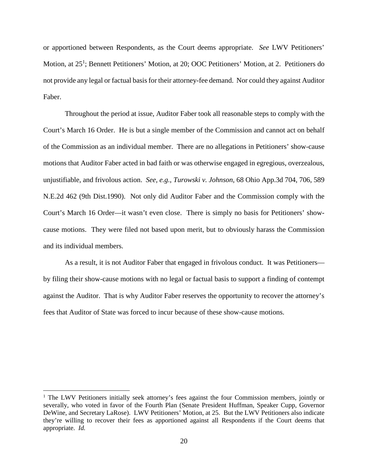or apportioned between Respondents, as the Court deems appropriate. *See* LWV Petitioners' Motion, at 25<sup>1</sup>; Bennett Petitioners' Motion, at 20; OOC Petitioners' Motion, at 2. Petitioners do not provide any legal or factual basis for their attorney-fee demand. Nor could they against Auditor Faber.

Throughout the period at issue, Auditor Faber took all reasonable steps to comply with the Court's March 16 Order. He is but a single member of the Commission and cannot act on behalf of the Commission as an individual member. There are no allegations in Petitioners' show-cause motions that Auditor Faber acted in bad faith or was otherwise engaged in egregious, overzealous, unjustifiable, and frivolous action. *See, e.g.*, *Turowski v. Johnson*, 68 Ohio App.3d 704, 706, 589 N.E.2d 462 (9th Dist.1990). Not only did Auditor Faber and the Commission comply with the Court's March 16 Order—it wasn't even close. There is simply no basis for Petitioners' showcause motions. They were filed not based upon merit, but to obviously harass the Commission and its individual members.

As a result, it is not Auditor Faber that engaged in frivolous conduct. It was Petitioners by filing their show-cause motions with no legal or factual basis to support a finding of contempt against the Auditor. That is why Auditor Faber reserves the opportunity to recover the attorney's fees that Auditor of State was forced to incur because of these show-cause motions.

<sup>&</sup>lt;sup>1</sup> The LWV Petitioners initially seek attorney's fees against the four Commission members, jointly or severally, who voted in favor of the Fourth Plan (Senate President Huffman, Speaker Cupp, Governor DeWine, and Secretary LaRose). LWV Petitioners' Motion, at 25. But the LWV Petitioners also indicate they're willing to recover their fees as apportioned against all Respondents if the Court deems that appropriate. *Id.*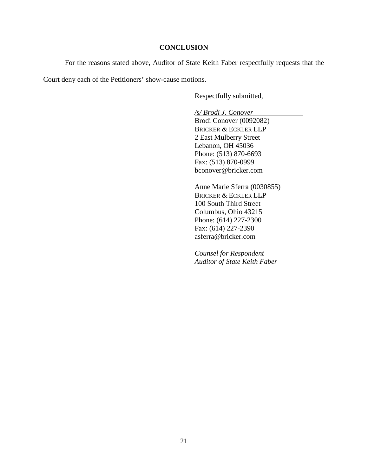### **CONCLUSION**

For the reasons stated above, Auditor of State Keith Faber respectfully requests that the

Court deny each of the Petitioners' show-cause motions.

Respectfully submitted,

*/s/ Brodi J. Conover*

Brodi Conover (0092082) BRICKER & ECKLER LLP 2 East Mulberry Street Lebanon, OH 45036 Phone: (513) 870-6693 Fax: (513) 870-0999 bconover@bricker.com

Anne Marie Sferra (0030855) BRICKER & ECKLER LLP 100 South Third Street Columbus, Ohio 43215 Phone: (614) 227-2300 Fax: (614) 227-2390 asferra@bricker.com

*Counsel for Respondent Auditor of State Keith Faber*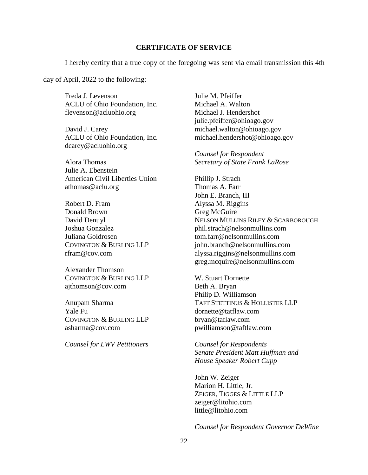#### **CERTIFICATE OF SERVICE**

I hereby certify that a true copy of the foregoing was sent via email transmission this 4th

day of April, 2022 to the following:

Freda J. Levenson Julie M. Pfeiffer ACLU of Ohio Foundation, Inc. Michael A. Walton flevenson@acluohio.org Michael J. Hendershot

dcarey@acluohio.org

Julie A. Ebenstein American Civil Liberties Union Phillip J. Strach athomas @ aclu.org Thomas A. Farr

Robert D. Fram Alyssa M. Riggins Donald Brown Greg McGuire

Alexander Thomson COVINGTON & BURLING LLP W. Stuart Dornette ajthomson@cov.com Beth A. Bryan

Yale Fu dornette@tatflaw.com COVINGTON & BURLING LLP bryan@taflaw.com asharma@cov.com pwilliamson@taftlaw.com

*Counsel for LWV Petitioners Counsel for Respondents* 

julie.pfeiffer@ohioago.gov David J. Carey michael.walton@ohioago.gov ACLU of Ohio Foundation, Inc. michael.hendershot@ohioago.gov

*Counsel for Respondent* Alora Thomas *Secretary of State Frank LaRose*

John E. Branch, III David Denuyl NELSON MULLINS RILEY & SCARBOROUGH Joshua Gonzalez phil.strach@nelsonmullins.com Juliana Goldrosen tom.farr@nelsonmullins.com COVINGTON & BURLING LLP john.branch@nelsonmullins.com rfram@cov.com alyssa.riggins@nelsonmullins.com greg.mcquire@nelsonmullins.com

Philip D. Williamson Anupam Sharma TAFT STETTINUS & HOLLISTER LLP

> *Senate President Matt Huffman and House Speaker Robert Cupp*

John W. Zeiger Marion H. Little, Jr. ZEIGER, TIGGES & LITTLE LLP zeiger@litohio.com little@litohio.com

*Counsel for Respondent Governor DeWine*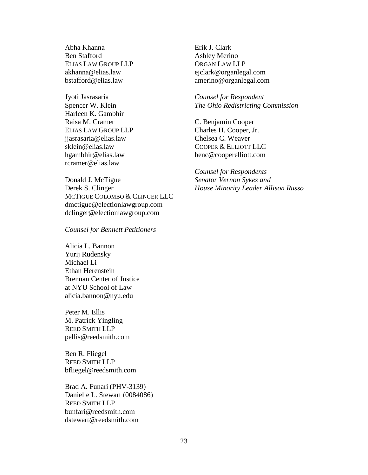Abha Khanna Erik J. Clark Ben Stafford Ashley Merino ELIAS LAW GROUP LLP ORGAN LAW LLP

Harleen K. Gambhir Raisa M. Cramer C. Benjamin Cooper ELIAS LAW GROUP LLP Charles H. Cooper, Jr. jjasrasaria@elias.law Chelsea C. Weaver rcramer@elias.law

Donald J. McTigue *Senator Vernon Sykes and*  Derek S. Clinger *House Minority Leader Allison Russo* MCTIGUE COLOMBO & CLINGER LLC dmctigue@electionlawgroup.com dclinger@electionlawgroup.com

*Counsel for Bennett Petitioners* 

Alicia L. Bannon Yurij Rudensky Michael Li Ethan Herenstein Brennan Center of Justice at NYU School of Law alicia.bannon@nyu.edu

Peter M. Ellis M. Patrick Yingling REED SMITH LLP pellis@reedsmith.com

Ben R. Fliegel REED SMITH LLP bfliegel@reedsmith.com

Brad A. Funari (PHV-3139) Danielle L. Stewart (0084086) REED SMITH LLP bunfari@reedsmith.com dstewart@reedsmith.com

akhanna@elias.law ejclark@organlegal.com bstafford@elias.law amerino@organlegal.com

Jyoti Jasrasaria *Counsel for Respondent*  Spencer W. Klein *The Ohio Redistricting Commission* 

sklein@elias.law COOPER & ELLIOTT LLC hgambhir@elias.law benc@cooperelliott.com

*Counsel for Respondents*